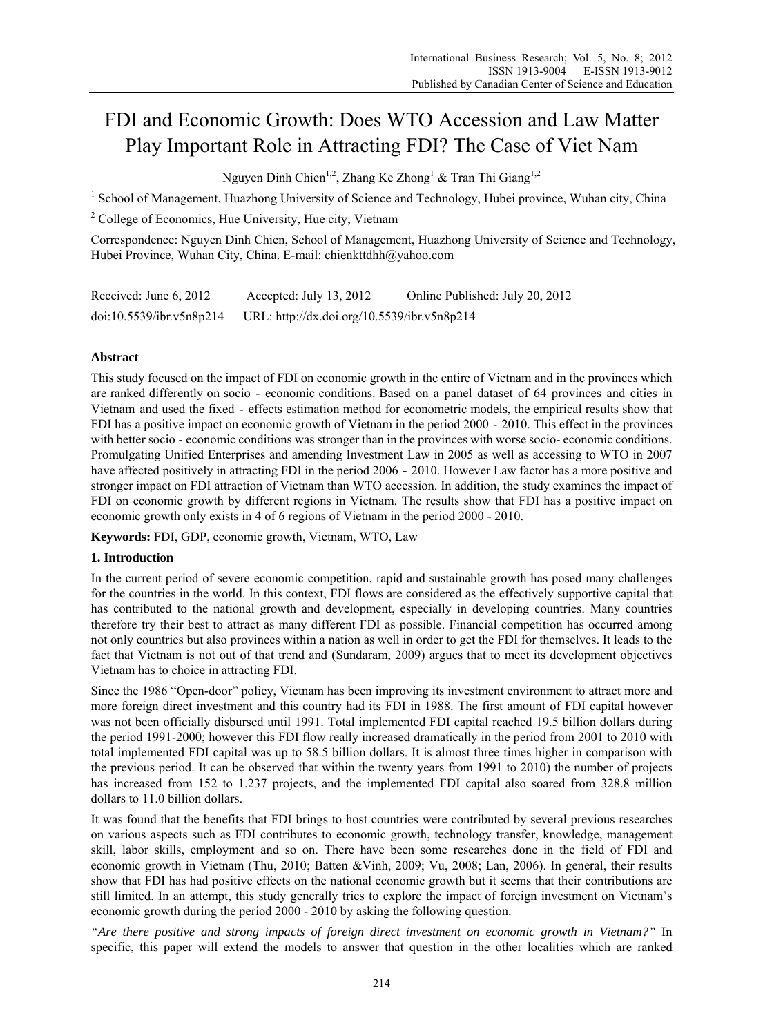# FDI and Economic Growth: Does WTO Accession and Law Matter Play Important Role in Attracting FDI? The Case of Viet Nam

Nguyen Dinh Chien<sup>1,2</sup>, Zhang Ke Zhong<sup>1</sup> & Tran Thi Giang<sup>1,2</sup>

<sup>1</sup> School of Management, Huazhong University of Science and Technology, Hubei province, Wuhan city, China

<sup>2</sup> College of Economics, Hue University, Hue city, Vietnam

Correspondence: Nguyen Dinh Chien, School of Management, Huazhong University of Science and Technology, Hubei Province, Wuhan City, China. E-mail: chienkttdhh@yahoo.com

| Received: June 6, 2012   | Accepted: July 13, 2012                     | Online Published: July 20, 2012 |
|--------------------------|---------------------------------------------|---------------------------------|
| doi:10.5539/ibr.v5n8p214 | URL: http://dx.doi.org/10.5539/ibr.v5n8p214 |                                 |

# **Abstract**

This study focused on the impact of FDI on economic growth in the entire of Vietnam and in the provinces which are ranked differently on socio - economic conditions. Based on a panel dataset of 64 provinces and cities in Vietnam and used the fixed - effects estimation method for econometric models, the empirical results show that FDI has a positive impact on economic growth of Vietnam in the period 2000 - 2010. This effect in the provinces with better socio - economic conditions was stronger than in the provinces with worse socio- economic conditions. Promulgating Unified Enterprises and amending Investment Law in 2005 as well as accessing to WTO in 2007 have affected positively in attracting FDI in the period 2006 - 2010. However Law factor has a more positive and stronger impact on FDI attraction of Vietnam than WTO accession. In addition, the study examines the impact of FDI on economic growth by different regions in Vietnam. The results show that FDI has a positive impact on economic growth only exists in 4 of 6 regions of Vietnam in the period 2000 - 2010.

**Keywords:** FDI, GDP, economic growth, Vietnam, WTO, Law

# **1. Introduction**

In the current period of severe economic competition, rapid and sustainable growth has posed many challenges for the countries in the world. In this context, FDI flows are considered as the effectively supportive capital that has contributed to the national growth and development, especially in developing countries. Many countries therefore try their best to attract as many different FDI as possible. Financial competition has occurred among not only countries but also provinces within a nation as well in order to get the FDI for themselves. It leads to the fact that Vietnam is not out of that trend and (Sundaram, 2009) argues that to meet its development objectives Vietnam has to choice in attracting FDI.

Since the 1986 "Open-door" policy, Vietnam has been improving its investment environment to attract more and more foreign direct investment and this country had its FDI in 1988. The first amount of FDI capital however was not been officially disbursed until 1991. Total implemented FDI capital reached 19.5 billion dollars during the period 1991-2000; however this FDI flow really increased dramatically in the period from 2001 to 2010 with total implemented FDI capital was up to 58.5 billion dollars. It is almost three times higher in comparison with the previous period. It can be observed that within the twenty years from 1991 to 2010) the number of projects has increased from 152 to 1.237 projects, and the implemented FDI capital also soared from 328.8 million dollars to 11.0 billion dollars.

It was found that the benefits that FDI brings to host countries were contributed by several previous researches on various aspects such as FDI contributes to economic growth, technology transfer, knowledge, management skill, labor skills, employment and so on. There have been some researches done in the field of FDI and economic growth in Vietnam (Thu, 2010; Batten &Vinh, 2009; Vu, 2008; Lan, 2006). In general, their results show that FDI has had positive effects on the national economic growth but it seems that their contributions are still limited. In an attempt, this study generally tries to explore the impact of foreign investment on Vietnam's economic growth during the period 2000 - 2010 by asking the following question.

*"Are there positive and strong impacts of foreign direct investment on economic growth in Vietnam?"* In specific, this paper will extend the models to answer that question in the other localities which are ranked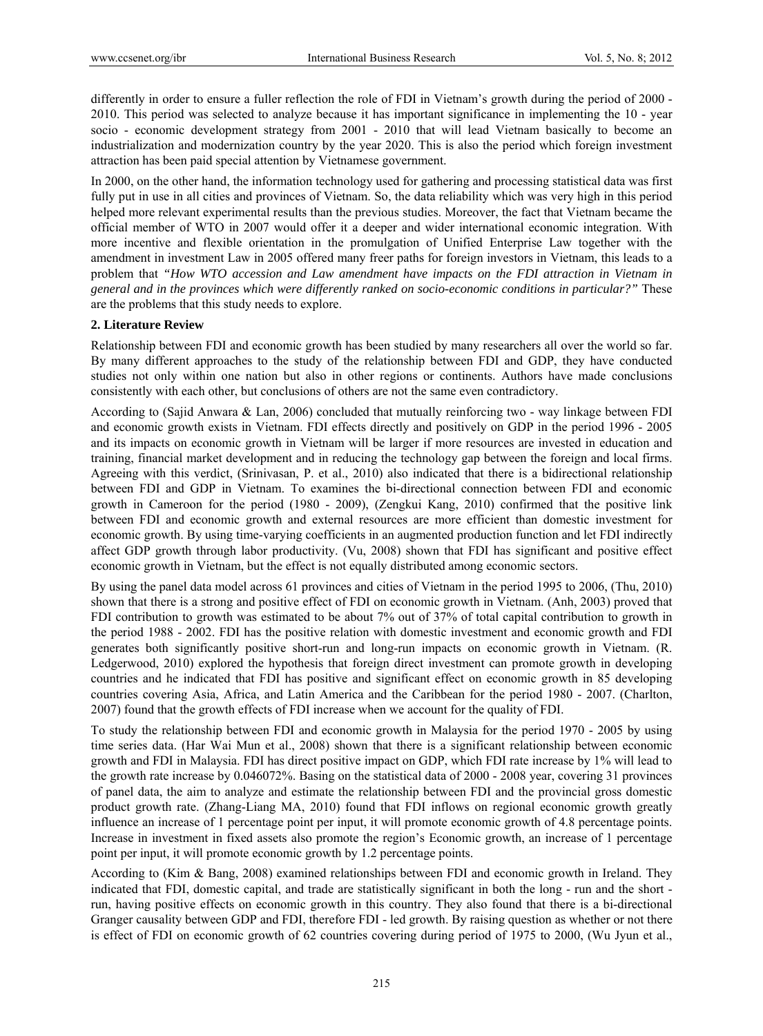differently in order to ensure a fuller reflection the role of FDI in Vietnam's growth during the period of 2000 - 2010. This period was selected to analyze because it has important significance in implementing the 10 - year socio - economic development strategy from 2001 - 2010 that will lead Vietnam basically to become an industrialization and modernization country by the year 2020. This is also the period which foreign investment attraction has been paid special attention by Vietnamese government.

In 2000, on the other hand, the information technology used for gathering and processing statistical data was first fully put in use in all cities and provinces of Vietnam. So, the data reliability which was very high in this period helped more relevant experimental results than the previous studies. Moreover, the fact that Vietnam became the official member of WTO in 2007 would offer it a deeper and wider international economic integration. With more incentive and flexible orientation in the promulgation of Unified Enterprise Law together with the amendment in investment Law in 2005 offered many freer paths for foreign investors in Vietnam, this leads to a problem that *"How WTO accession and Law amendment have impacts on the FDI attraction in Vietnam in general and in the provinces which were differently ranked on socio-economic conditions in particular?"* These are the problems that this study needs to explore.

# **2. Literature Review**

Relationship between FDI and economic growth has been studied by many researchers all over the world so far. By many different approaches to the study of the relationship between FDI and GDP, they have conducted studies not only within one nation but also in other regions or continents. Authors have made conclusions consistently with each other, but conclusions of others are not the same even contradictory.

According to (Sajid Anwara & Lan, 2006) concluded that mutually reinforcing two - way linkage between FDI and economic growth exists in Vietnam. FDI effects directly and positively on GDP in the period 1996 - 2005 and its impacts on economic growth in Vietnam will be larger if more resources are invested in education and training, financial market development and in reducing the technology gap between the foreign and local firms. Agreeing with this verdict, (Srinivasan, P. et al., 2010) also indicated that there is a bidirectional relationship between FDI and GDP in Vietnam. To examines the bi-directional connection between FDI and economic growth in Cameroon for the period (1980 - 2009), (Zengkui Kang, 2010) confirmed that the positive link between FDI and economic growth and external resources are more efficient than domestic investment for economic growth. By using time-varying coefficients in an augmented production function and let FDI indirectly affect GDP growth through labor productivity. (Vu, 2008) shown that FDI has significant and positive effect economic growth in Vietnam, but the effect is not equally distributed among economic sectors.

By using the panel data model across 61 provinces and cities of Vietnam in the period 1995 to 2006, (Thu, 2010) shown that there is a strong and positive effect of FDI on economic growth in Vietnam. (Anh, 2003) proved that FDI contribution to growth was estimated to be about 7% out of 37% of total capital contribution to growth in the period 1988 - 2002. FDI has the positive relation with domestic investment and economic growth and FDI generates both significantly positive short-run and long-run impacts on economic growth in Vietnam. (R. Ledgerwood, 2010) explored the hypothesis that foreign direct investment can promote growth in developing countries and he indicated that FDI has positive and significant effect on economic growth in 85 developing countries covering Asia, Africa, and Latin America and the Caribbean for the period 1980 - 2007. (Charlton, 2007) found that the growth effects of FDI increase when we account for the quality of FDI.

To study the relationship between FDI and economic growth in Malaysia for the period 1970 - 2005 by using time series data. (Har Wai Mun et al., 2008) shown that there is a significant relationship between economic growth and FDI in Malaysia. FDI has direct positive impact on GDP, which FDI rate increase by 1% will lead to the growth rate increase by 0.046072%. Basing on the statistical data of 2000 - 2008 year, covering 31 provinces of panel data, the aim to analyze and estimate the relationship between FDI and the provincial gross domestic product growth rate. (Zhang-Liang MA, 2010) found that FDI inflows on regional economic growth greatly influence an increase of 1 percentage point per input, it will promote economic growth of 4.8 percentage points. Increase in investment in fixed assets also promote the region's Economic growth, an increase of 1 percentage point per input, it will promote economic growth by 1.2 percentage points.

According to (Kim & Bang, 2008) examined relationships between FDI and economic growth in Ireland. They indicated that FDI, domestic capital, and trade are statistically significant in both the long - run and the short run, having positive effects on economic growth in this country. They also found that there is a bi-directional Granger causality between GDP and FDI, therefore FDI - led growth. By raising question as whether or not there is effect of FDI on economic growth of 62 countries covering during period of 1975 to 2000, (Wu Jyun et al.,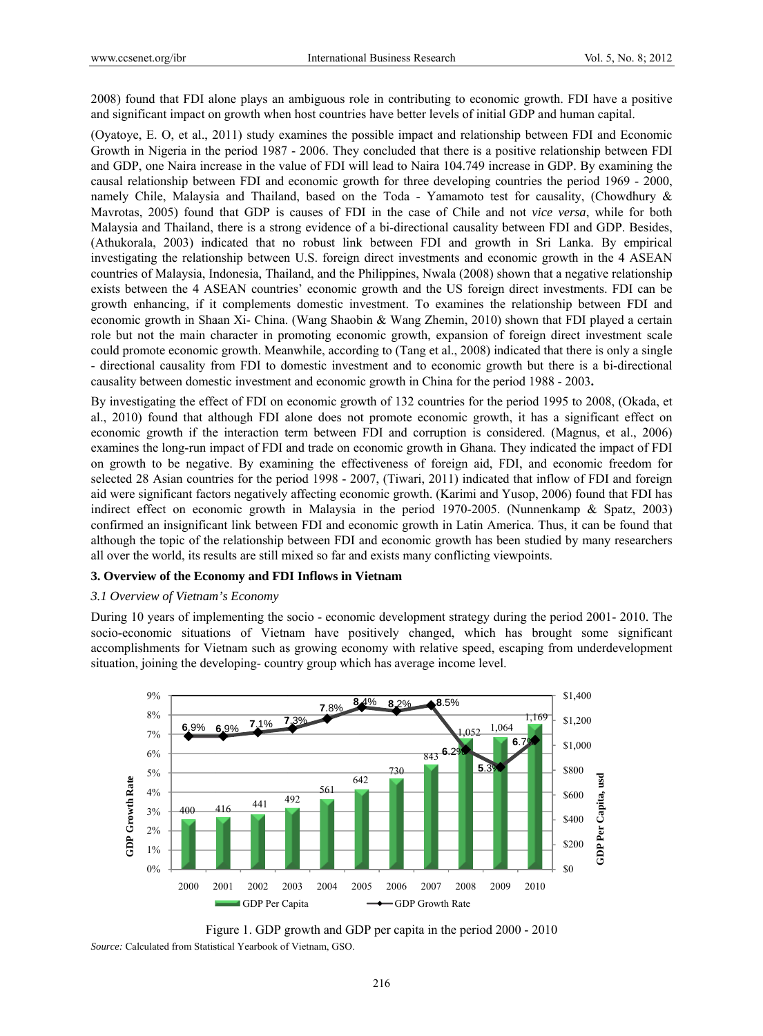2008) found that FDI alone plays an ambiguous role in contributing to economic growth. FDI have a positive and significant impact on growth when host countries have better levels of initial GDP and human capital.

(Oyatoye, E. O, et al., 2011) study examines the possible impact and relationship between FDI and Economic Growth in Nigeria in the period 1987 - 2006. They concluded that there is a positive relationship between FDI and GDP, one Naira increase in the value of FDI will lead to Naira 104.749 increase in GDP. By examining the causal relationship between FDI and economic growth for three developing countries the period 1969 - 2000, namely Chile, Malaysia and Thailand, based on the Toda - Yamamoto test for causality, (Chowdhury & Mavrotas, 2005) found that GDP is causes of FDI in the case of Chile and not vice versa, while for both Malaysia and Thailand, there is a strong evidence of a bi-directional causality between FDI and GDP. Besides, (Athukorala, 2003) indicated that no robust link between FDI and growth in Sri Lanka. By empirical investigating the relationship between U.S. foreign direct investments and economic growth in the 4 ASEAN countries of Malaysia, Indonesia, Thailand, and the Philippines, Nwala (2008) shown that a negative relationship exists between the 4 ASEAN countries' economic growth and the US foreign direct investments. FDI can be growth enhancing, if it complements domestic investment. To examines the relationship between FDI and economic growth in Shaan Xi- China. (Wang Shaobin & Wang Zhemin, 2010) shown that FDI played a certain role but not the main character in promoting economic growth, expansion of foreign direct investment scale could promote economic growth. Meanwhile, according to (Tang et al., 2008) indicated that there is only a single - directional causality from FDI to domestic investment and to economic growth but there is a bi-directional causality between domestic investment and economic growth in China for the period 1988 - 2003.

By investigating the effect of FDI on economic growth of 132 countries for the period 1995 to 2008, (Okada, et al., 2010) found that although FDI alone does not promote economic growth, it has a significant effect on economic growth if the interaction term between FDI and corruption is considered. (Magnus, et al., 2006) examines the long-run impact of FDI and trade on economic growth in Ghana. They indicated the impact of FDI on growth to be negative. By examining the effectiveness of foreign aid, FDI, and economic freedom for selected 28 Asian countries for the period 1998 - 2007, (Tiwari, 2011) indicated that inflow of FDI and foreign aid were significant factors negatively affecting economic growth. (Karimi and Yusop, 2006) found that FDI has indirect effect on economic growth in Malaysia in the period 1970-2005. (Nunnenkamp & Spatz, 2003) confirmed an insignificant link between FDI and economic growth in Latin America. Thus, it can be found that although the topic of the relationship between FDI and economic growth has been studied by many researchers all over the world, its results are still mixed so far and exists many conflicting viewpoints.

#### 3. Overview of the Economy and FDI Inflows in Vietnam

#### 3.1 Overview of Vietnam's Economy

During 10 years of implementing the socio - economic development strategy during the period 2001-2010. The socio-economic situations of Vietnam have positively changed, which has brought some significant accomplishments for Vietnam such as growing economy with relative speed, escaping from underdevelopment situation, joining the developing-country group which has average income level.



Figure 1. GDP growth and GDP per capita in the period 2000 - 2010 Source: Calculated from Statistical Yearbook of Vietnam, GSO.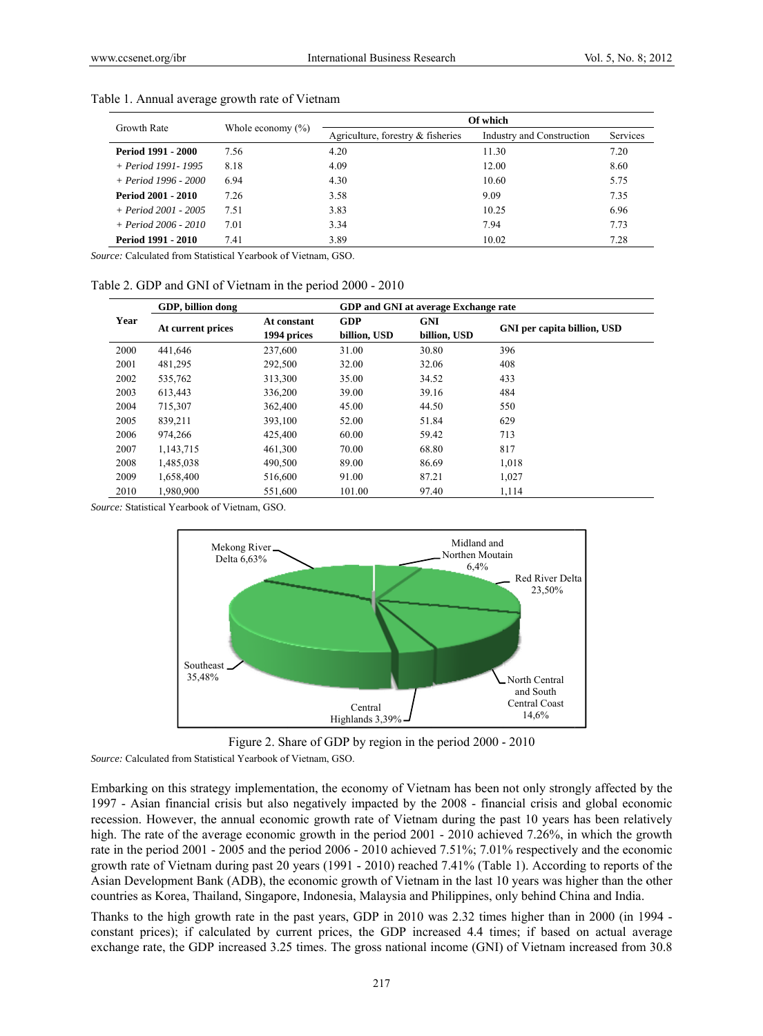| Growth Rate               |                       | Of which                          |                           |          |  |  |  |  |  |
|---------------------------|-----------------------|-----------------------------------|---------------------------|----------|--|--|--|--|--|
|                           | Whole economy $(\% )$ | Agriculture, forestry & fisheries | Industry and Construction | Services |  |  |  |  |  |
| <b>Period 1991 - 2000</b> | 7.56                  | 4.20                              | 11.30                     | 7.20     |  |  |  |  |  |
| $+ Period$ 1991- 1995     | 8.18                  | 4.09                              | 12.00                     | 8.60     |  |  |  |  |  |
| $+ Period$ 1996 - 2000    | 6.94                  | 4.30                              | 10.60                     | 5.75     |  |  |  |  |  |
| Period 2001 - 2010        | 7.26                  | 3.58                              | 9.09                      | 7.35     |  |  |  |  |  |
| $+ Period 2001 - 2005$    | 7.51                  | 3.83                              | 10.25                     | 6.96     |  |  |  |  |  |
| $+ Period 2006 - 2010$    | 7.01                  | 3.34                              | 7.94                      | 7.73     |  |  |  |  |  |
| Period 1991 - 2010        | 7.41                  | 3.89                              | 10.02                     | 7.28     |  |  |  |  |  |

#### Table 1. Annual average growth rate of Vietnam

Source: Calculated from Statistical Yearbook of Vietnam, GSO.

|  |  |  |  |  |  |  | Table 2. GDP and GNI of Vietnam in the period 2000 - 2010 |  |  |  |  |  |  |  |  |  |  |
|--|--|--|--|--|--|--|-----------------------------------------------------------|--|--|--|--|--|--|--|--|--|--|
|--|--|--|--|--|--|--|-----------------------------------------------------------|--|--|--|--|--|--|--|--|--|--|

|      | GDP, billion dong |                            |                            | GDP and GNI at average Exchange rate |                             |
|------|-------------------|----------------------------|----------------------------|--------------------------------------|-----------------------------|
| Year | At current prices | At constant<br>1994 prices | <b>GDP</b><br>billion, USD | <b>GNI</b><br>billion, USD           | GNI per capita billion, USD |
| 2000 | 441,646           | 237,600                    | 31.00                      | 30.80                                | 396                         |
| 2001 | 481,295           | 292,500                    | 32.00                      | 32.06                                | 408                         |
| 2002 | 535,762           | 313,300                    | 35.00                      | 34.52                                | 433                         |
| 2003 | 613,443           | 336,200                    | 39.00                      | 39.16                                | 484                         |
| 2004 | 715,307           | 362,400                    | 45.00                      | 44.50                                | 550                         |
| 2005 | 839,211           | 393.100                    | 52.00                      | 51.84                                | 629                         |
| 2006 | 974,266           | 425,400                    | 60.00                      | 59.42                                | 713                         |
| 2007 | 1,143,715         | 461,300                    | 70.00                      | 68.80                                | 817                         |
| 2008 | 1,485,038         | 490,500                    | 89.00                      | 86.69                                | 1,018                       |
| 2009 | 1,658,400         | 516,600                    | 91.00                      | 87.21                                | 1,027                       |
| 2010 | 1,980,900         | 551,600                    | 101.00                     | 97.40                                | 1,114                       |

Source: Statistical Yearbook of Vietnam, GSO.



Figure 2. Share of GDP by region in the period 2000 - 2010

Source: Calculated from Statistical Yearbook of Vietnam, GSO.

Embarking on this strategy implementation, the economy of Vietnam has been not only strongly affected by the 1997 - Asian financial crisis but also negatively impacted by the 2008 - financial crisis and global economic recession. However, the annual economic growth rate of Vietnam during the past 10 years has been relatively high. The rate of the average economic growth in the period 2001 - 2010 achieved 7.26%, in which the growth rate in the period 2001 - 2005 and the period 2006 - 2010 achieved 7.51%; 7.01% respectively and the economic growth rate of Vietnam during past 20 years (1991 - 2010) reached 7.41% (Table 1). According to reports of the Asian Development Bank (ADB), the economic growth of Vietnam in the last 10 years was higher than the other countries as Korea, Thailand, Singapore, Indonesia, Malaysia and Philippines, only behind China and India.

Thanks to the high growth rate in the past years, GDP in 2010 was 2.32 times higher than in 2000 (in 1994 constant prices); if calculated by current prices, the GDP increased 4.4 times; if based on actual average exchange rate, the GDP increased 3.25 times. The gross national income (GNI) of Vietnam increased from 30.8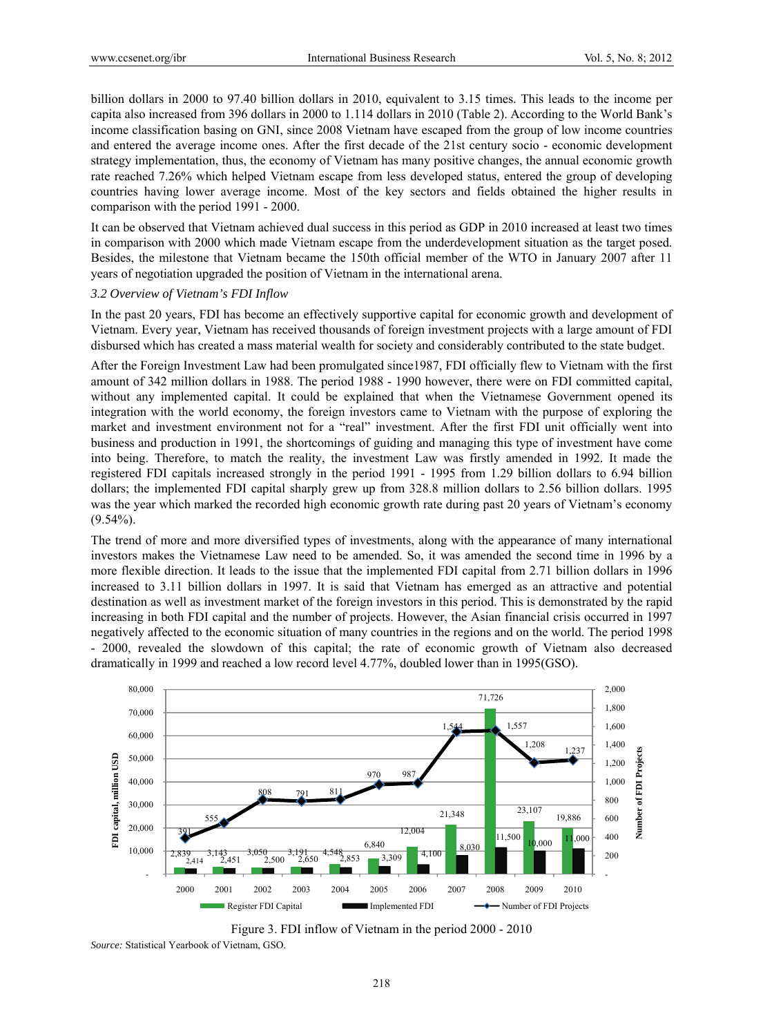billion dollars in 2000 to 97.40 billion dollars in 2010, equivalent to 3.15 times. This leads to the income per capita also increased from 396 dollars in 2000 to 1.114 dollars in 2010 (Table 2). According to the World Bank's income classification basing on GNI, since 2008 Vietnam have escaped from the group of low income countries and entered the average income ones. After the first decade of the 21st century socio - economic development strategy implementation, thus, the economy of Vietnam has many positive changes, the annual economic growth rate reached 7.26% which helped Vietnam escape from less developed status, entered the group of developing countries having lower average income. Most of the key sectors and fields obtained the higher results in comparison with the period 1991 - 2000.

It can be observed that Vietnam achieved dual success in this period as GDP in 2010 increased at least two times in comparison with 2000 which made Vietnam escape from the underdevelopment situation as the target posed. Besides, the milestone that Vietnam became the 150th official member of the WTO in January 2007 after 11 years of negotiation upgraded the position of Vietnam in the international arena.

#### *3.2 Overview of Vietnam's FDI Inflow*

In the past 20 years, FDI has become an effectively supportive capital for economic growth and development of Vietnam. Every year, Vietnam has received thousands of foreign investment projects with a large amount of FDI disbursed which has created a mass material wealth for society and considerably contributed to the state budget.

After the Foreign Investment Law had been promulgated since1987, FDI officially flew to Vietnam with the first amount of 342 million dollars in 1988. The period 1988 - 1990 however, there were on FDI committed capital, without any implemented capital. It could be explained that when the Vietnamese Government opened its integration with the world economy, the foreign investors came to Vietnam with the purpose of exploring the market and investment environment not for a "real" investment. After the first FDI unit officially went into business and production in 1991, the shortcomings of guiding and managing this type of investment have come into being. Therefore, to match the reality, the investment Law was firstly amended in 1992. It made the registered FDI capitals increased strongly in the period 1991 - 1995 from 1.29 billion dollars to 6.94 billion dollars; the implemented FDI capital sharply grew up from 328.8 million dollars to 2.56 billion dollars. 1995 was the year which marked the recorded high economic growth rate during past 20 years of Vietnam's economy  $(9.54\%)$ .

The trend of more and more diversified types of investments, along with the appearance of many international investors makes the Vietnamese Law need to be amended. So, it was amended the second time in 1996 by a more flexible direction. It leads to the issue that the implemented FDI capital from 2.71 billion dollars in 1996 increased to 3.11 billion dollars in 1997. It is said that Vietnam has emerged as an attractive and potential destination as well as investment market of the foreign investors in this period. This is demonstrated by the rapid increasing in both FDI capital and the number of projects. However, the Asian financial crisis occurred in 1997 negatively affected to the economic situation of many countries in the regions and on the world. The period 1998 - 2000, revealed the slowdown of this capital; the rate of economic growth of Vietnam also decreased dramatically in 1999 and reached a low record level 4.77%, doubled lower than in 1995(GSO).



Figure 3. FDI inflow of Vietnam in the period 2000 - 2010

*Source:* Statistical Yearbook of Vietnam, GSO.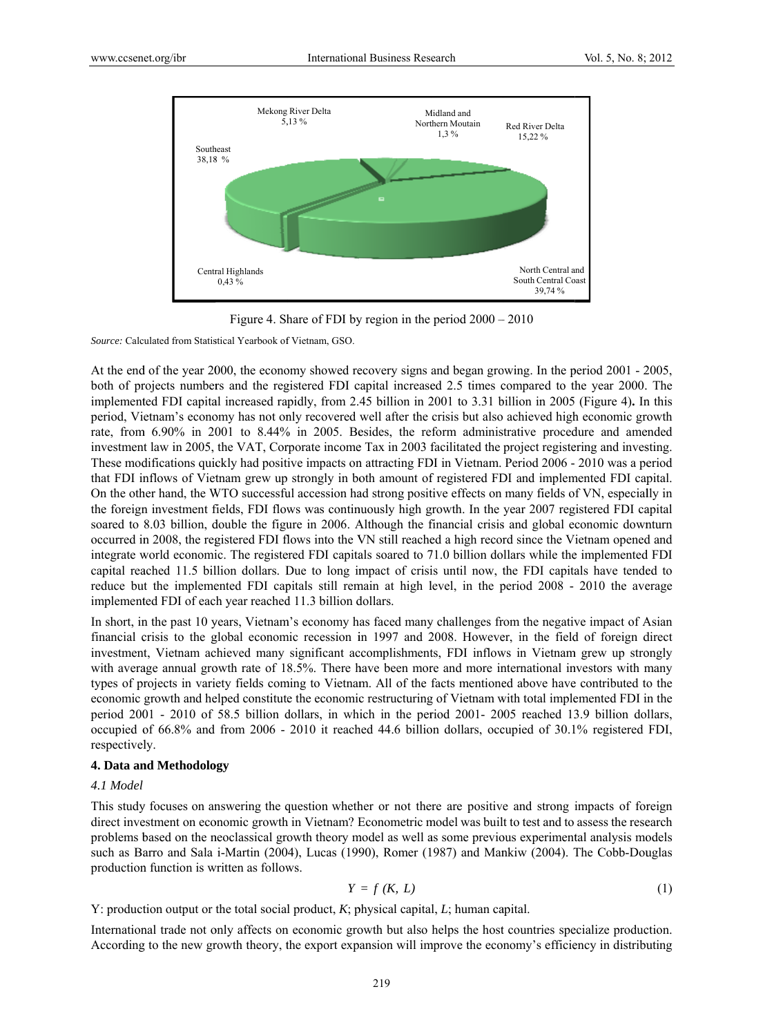

Figure 4. Share of FDI by region in the period  $2000 - 2010$ 

Source: Calculated from Statistical Yearbook of Vietnam, GSO.

At the end of the year 2000, the economy showed recovery signs and began growing. In the period 2001 - 2005, both of projects numbers and the registered FDI capital increased 2.5 times compared to the year 2000. The implemented FDI capital increased rapidly, from 2.45 billion in 2001 to 3.31 billion in 2005 (Figure 4). In this period, Vietnam's economy has not only recovered well after the crisis but also achieved high economic growth rate, from 6.90% in 2001 to 8.44% in 2005. Besides, the reform administrative procedure and amended investment law in 2005, the VAT, Corporate income Tax in 2003 facilitated the project registering and investing. These modifications quickly had positive impacts on attracting FDI in Vietnam. Period 2006 - 2010 was a period that FDI inflows of Vietnam grew up strongly in both amount of registered FDI and implemented FDI capital. On the other hand, the WTO successful accession had strong positive effects on many fields of VN, especially in the foreign investment fields, FDI flows was continuously high growth. In the year 2007 registered FDI capital soared to 8.03 billion, double the figure in 2006. Although the financial crisis and global economic downturn occurred in 2008, the registered FDI flows into the VN still reached a high record since the Vietnam opened and integrate world economic. The registered FDI capitals soared to 71.0 billion dollars while the implemented FDI capital reached 11.5 billion dollars. Due to long impact of crisis until now, the FDI capitals have tended to reduce but the implemented FDI capitals still remain at high level, in the period 2008 - 2010 the average implemented FDI of each year reached 11.3 billion dollars.

In short, in the past 10 years, Vietnam's economy has faced many challenges from the negative impact of Asian financial crisis to the global economic recession in 1997 and 2008. However, in the field of foreign direct investment, Vietnam achieved many significant accomplishments. FDI inflows in Vietnam grew up strongly with average annual growth rate of 18.5%. There have been more and more international investors with many types of projects in variety fields coming to Vietnam. All of the facts mentioned above have contributed to the economic growth and helped constitute the economic restructuring of Vietnam with total implemented FDI in the period 2001 - 2010 of 58.5 billion dollars, in which in the period 2001 - 2005 reached 13.9 billion dollars, occupied of 66.8% and from 2006 - 2010 it reached 44.6 billion dollars, occupied of 30.1% registered FDI, respectively.

#### 4. Data and Methodology

#### 4.1 Model

This study focuses on answering the question whether or not there are positive and strong impacts of foreign direct investment on economic growth in Vietnam? Econometric model was built to test and to assess the research problems based on the neoclassical growth theory model as well as some previous experimental analysis models such as Barro and Sala i-Martin (2004), Lucas (1990), Romer (1987) and Mankiw (2004). The Cobb-Douglas production function is written as follows.

$$
Y = f(K, L) \tag{1}
$$

Y: production output or the total social product,  $K$ ; physical capital,  $L$ ; human capital.

International trade not only affects on economic growth but also helps the host countries specialize production. According to the new growth theory, the export expansion will improve the economy's efficiency in distributing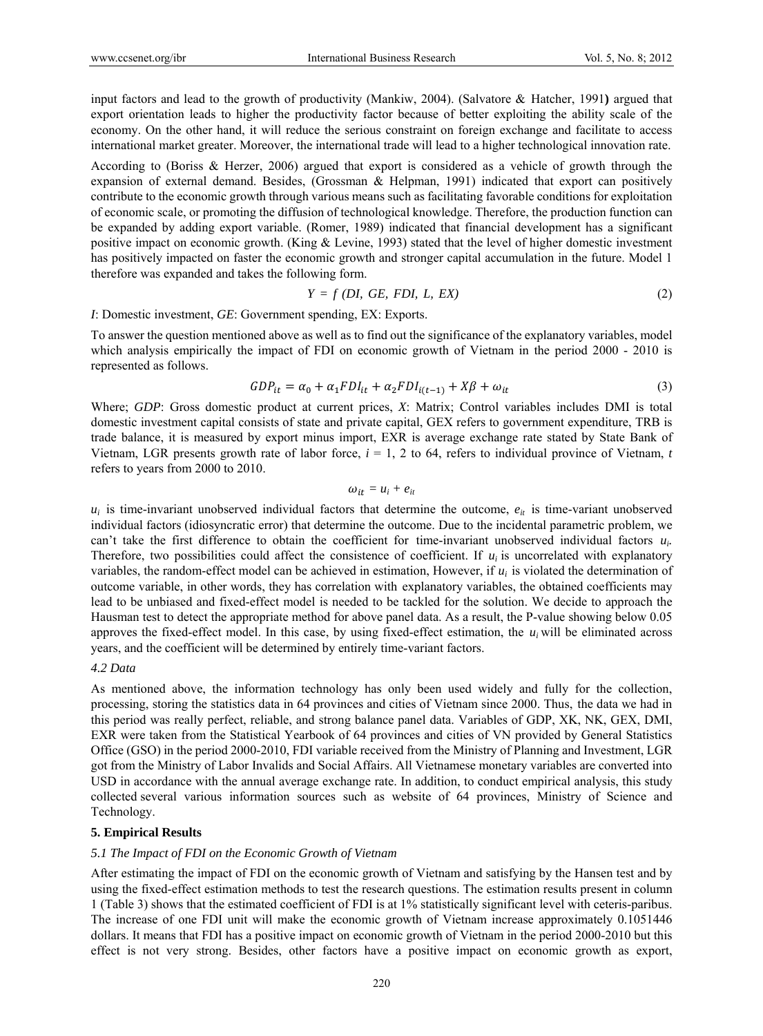input factors and lead to the growth of productivity (Mankiw, 2004). (Salvatore & Hatcher, 1991**)** argued that export orientation leads to higher the productivity factor because of better exploiting the ability scale of the economy. On the other hand, it will reduce the serious constraint on foreign exchange and facilitate to access international market greater. Moreover, the international trade will lead to a higher technological innovation rate.

According to (Boriss & Herzer, 2006) argued that export is considered as a vehicle of growth through the expansion of external demand. Besides, (Grossman & Helpman, 1991) indicated that export can positively contribute to the economic growth through various means such as facilitating favorable conditions for exploitation of economic scale, or promoting the diffusion of technological knowledge. Therefore, the production function can be expanded by adding export variable. (Romer, 1989) indicated that financial development has a significant positive impact on economic growth. (King & Levine, 1993) stated that the level of higher domestic investment has positively impacted on faster the economic growth and stronger capital accumulation in the future. Model 1 therefore was expanded and takes the following form.

$$
Y = f(DI, GE, FDI, L, EX)
$$
 (2)

*I*: Domestic investment, *GE*: Government spending, EX: Exports.

To answer the question mentioned above as well as to find out the significance of the explanatory variables, model which analysis empirically the impact of FDI on economic growth of Vietnam in the period 2000 - 2010 is represented as follows.

$$
GDP_{it} = \alpha_0 + \alpha_1 FDI_{it} + \alpha_2 FDI_{i(t-1)} + X\beta + \omega_{it}
$$
\n<sup>(3)</sup>

Where; *GDP*: Gross domestic product at current prices, *X*: Matrix; Control variables includes DMI is total domestic investment capital consists of state and private capital, GEX refers to government expenditure, TRB is trade balance, it is measured by export minus import, EXR is average exchange rate stated by State Bank of Vietnam, LGR presents growth rate of labor force,  $i = 1, 2$  to 64, refers to individual province of Vietnam, *t* refers to years from 2000 to 2010.

 $\omega_{it} = u_i + e_{it}$ 

 $u_i$  is time-invariant unobserved individual factors that determine the outcome,  $e_{it}$  is time-variant unobserved individual factors (idiosyncratic error) that determine the outcome. Due to the incidental parametric problem, we can't take the first difference to obtain the coefficient for time-invariant unobserved individual factors  $u_i$ . Therefore, two possibilities could affect the consistence of coefficient. If  $u_i$  is uncorrelated with explanatory variables, the random-effect model can be achieved in estimation, However, if  $u_i$  is violated the determination of outcome variable, in other words, they has correlation with explanatory variables, the obtained coefficients may lead to be unbiased and fixed-effect model is needed to be tackled for the solution. We decide to approach the Hausman test to detect the appropriate method for above panel data. As a result, the P-value showing below 0.05 approves the fixed-effect model. In this case, by using fixed-effect estimation, the  $u_i$  will be eliminated across years, and the coefficient will be determined by entirely time-variant factors.

# *4.2 Data*

As mentioned above, the information technology has only been used widely and fully for the collection, processing, storing the statistics data in 64 provinces and cities of Vietnam since 2000. Thus, the data we had in this period was really perfect, reliable, and strong balance panel data. Variables of GDP, XK, NK, GEX, DMI, EXR were taken from the Statistical Yearbook of 64 provinces and cities of VN provided by General Statistics Office (GSO) in the period 2000-2010, FDI variable received from the Ministry of Planning and Investment, LGR got from the Ministry of Labor Invalids and Social Affairs. All Vietnamese monetary variables are converted into USD in accordance with the annual average exchange rate. In addition, to conduct empirical analysis, this study collected several various information sources such as website of 64 provinces, Ministry of Science and Technology.

#### **5. Empirical Results**

#### *5.1 The Impact of FDI on the Economic Growth of Vietnam*

After estimating the impact of FDI on the economic growth of Vietnam and satisfying by the Hansen test and by using the fixed-effect estimation methods to test the research questions. The estimation results present in column 1 (Table 3) shows that the estimated coefficient of FDI is at 1% statistically significant level with ceteris-paribus. The increase of one FDI unit will make the economic growth of Vietnam increase approximately 0.1051446 dollars. It means that FDI has a positive impact on economic growth of Vietnam in the period 2000-2010 but this effect is not very strong. Besides, other factors have a positive impact on economic growth as export,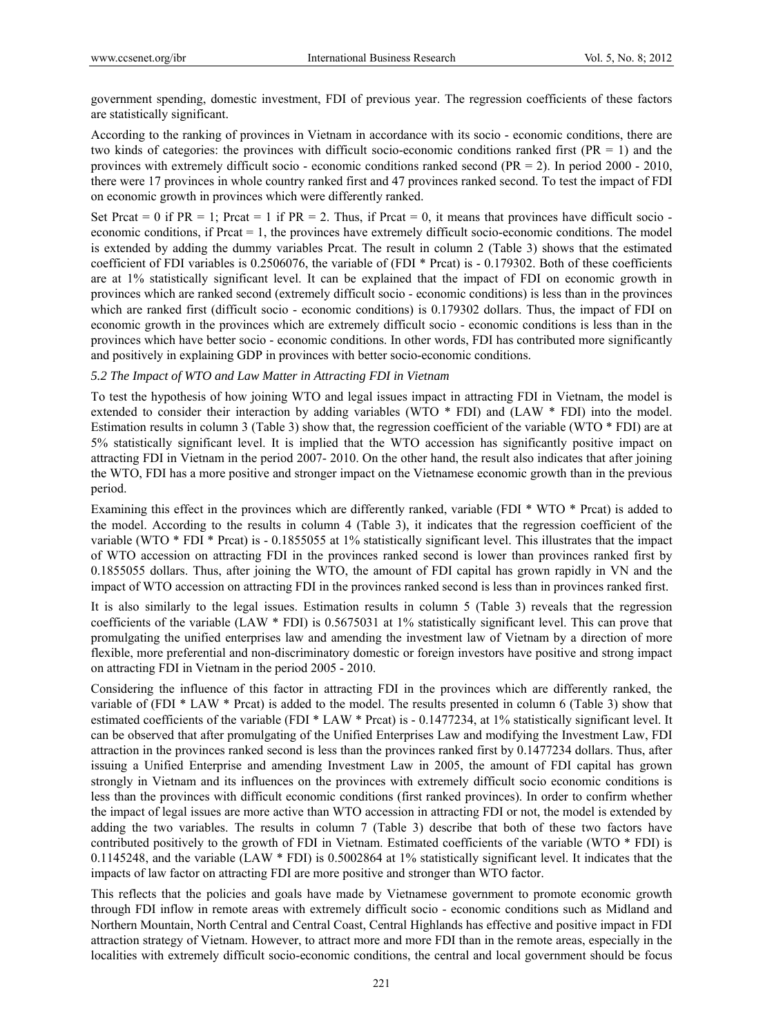government spending, domestic investment, FDI of previous year. The regression coefficients of these factors are statistically significant.

According to the ranking of provinces in Vietnam in accordance with its socio - economic conditions, there are two kinds of categories: the provinces with difficult socio-economic conditions ranked first ( $PR = 1$ ) and the provinces with extremely difficult socio - economic conditions ranked second (PR = 2). In period 2000 - 2010, there were 17 provinces in whole country ranked first and 47 provinces ranked second. To test the impact of FDI on economic growth in provinces which were differently ranked.

Set Prcat = 0 if  $PR = 1$ ; Prcat = 1 if  $PR = 2$ . Thus, if Prcat = 0, it means that provinces have difficult socio economic conditions, if Prcat = 1, the provinces have extremely difficult socio-economic conditions. The model is extended by adding the dummy variables Prcat. The result in column 2 (Table 3) shows that the estimated coefficient of FDI variables is 0.2506076, the variable of (FDI \* Prcat) is - 0.179302. Both of these coefficients are at 1% statistically significant level. It can be explained that the impact of FDI on economic growth in provinces which are ranked second (extremely difficult socio - economic conditions) is less than in the provinces which are ranked first (difficult socio - economic conditions) is 0.179302 dollars. Thus, the impact of FDI on economic growth in the provinces which are extremely difficult socio - economic conditions is less than in the provinces which have better socio - economic conditions. In other words, FDI has contributed more significantly and positively in explaining GDP in provinces with better socio-economic conditions.

## *5.2 The Impact of WTO and Law Matter in Attracting FDI in Vietnam*

To test the hypothesis of how joining WTO and legal issues impact in attracting FDI in Vietnam, the model is extended to consider their interaction by adding variables (WTO \* FDI) and (LAW \* FDI) into the model. Estimation results in column 3 (Table 3) show that, the regression coefficient of the variable (WTO \* FDI) are at 5% statistically significant level. It is implied that the WTO accession has significantly positive impact on attracting FDI in Vietnam in the period 2007- 2010. On the other hand, the result also indicates that after joining the WTO, FDI has a more positive and stronger impact on the Vietnamese economic growth than in the previous period.

Examining this effect in the provinces which are differently ranked, variable (FDI \* WTO \* Prcat) is added to the model. According to the results in column 4 (Table 3), it indicates that the regression coefficient of the variable (WTO \* FDI \* Prcat) is - 0.1855055 at 1% statistically significant level. This illustrates that the impact of WTO accession on attracting FDI in the provinces ranked second is lower than provinces ranked first by 0.1855055 dollars. Thus, after joining the WTO, the amount of FDI capital has grown rapidly in VN and the impact of WTO accession on attracting FDI in the provinces ranked second is less than in provinces ranked first.

It is also similarly to the legal issues. Estimation results in column 5 (Table 3) reveals that the regression coefficients of the variable (LAW \* FDI) is 0.5675031 at 1% statistically significant level. This can prove that promulgating the unified enterprises law and amending the investment law of Vietnam by a direction of more flexible, more preferential and non-discriminatory domestic or foreign investors have positive and strong impact on attracting FDI in Vietnam in the period 2005 - 2010.

Considering the influence of this factor in attracting FDI in the provinces which are differently ranked, the variable of (FDI \* LAW \* Prcat) is added to the model. The results presented in column 6 (Table 3) show that estimated coefficients of the variable (FDI \* LAW \* Prcat) is - 0.1477234, at 1% statistically significant level. It can be observed that after promulgating of the Unified Enterprises Law and modifying the Investment Law, FDI attraction in the provinces ranked second is less than the provinces ranked first by 0.1477234 dollars. Thus, after issuing a Unified Enterprise and amending Investment Law in 2005, the amount of FDI capital has grown strongly in Vietnam and its influences on the provinces with extremely difficult socio economic conditions is less than the provinces with difficult economic conditions (first ranked provinces). In order to confirm whether the impact of legal issues are more active than WTO accession in attracting FDI or not, the model is extended by adding the two variables. The results in column 7 (Table 3) describe that both of these two factors have contributed positively to the growth of FDI in Vietnam. Estimated coefficients of the variable (WTO \* FDI) is 0.1145248, and the variable (LAW \* FDI) is 0.5002864 at 1% statistically significant level. It indicates that the impacts of law factor on attracting FDI are more positive and stronger than WTO factor.

This reflects that the policies and goals have made by Vietnamese government to promote economic growth through FDI inflow in remote areas with extremely difficult socio - economic conditions such as Midland and Northern Mountain, North Central and Central Coast, Central Highlands has effective and positive impact in FDI attraction strategy of Vietnam. However, to attract more and more FDI than in the remote areas, especially in the localities with extremely difficult socio-economic conditions, the central and local government should be focus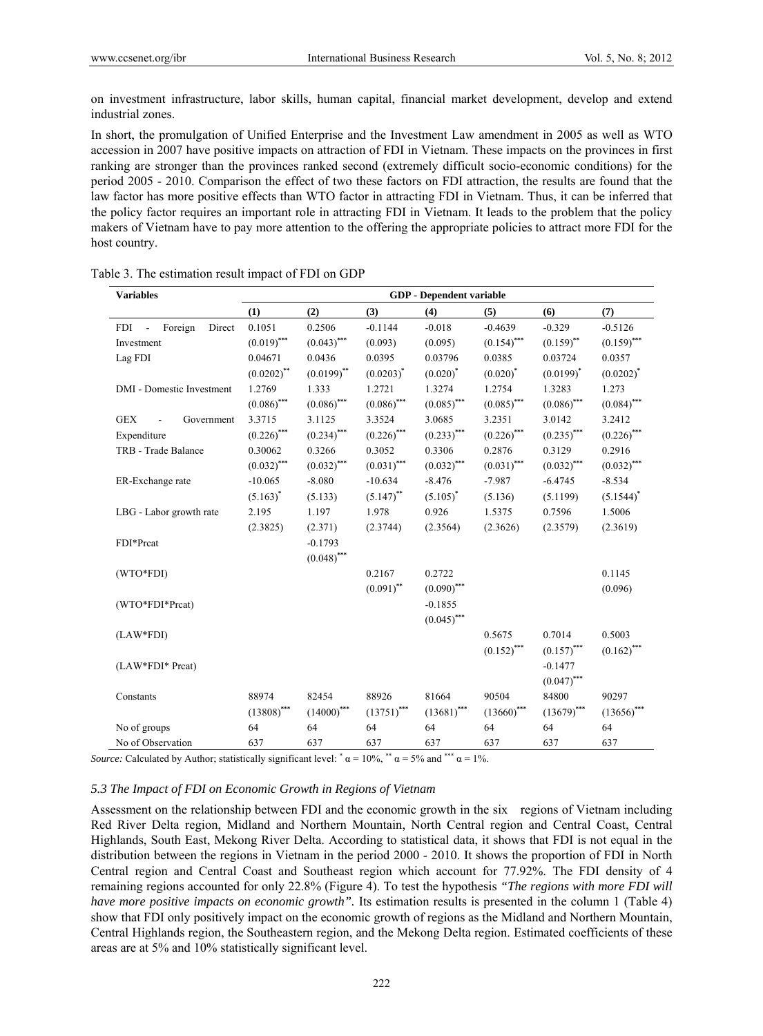on investment infrastructure, labor skills, human capital, financial market development, develop and extend industrial zones.

In short, the promulgation of Unified Enterprise and the Investment Law amendment in 2005 as well as WTO accession in 2007 have positive impacts on attraction of FDI in Vietnam. These impacts on the provinces in first ranking are stronger than the provinces ranked second (extremely difficult socio-economic conditions) for the period 2005 - 2010. Comparison the effect of two these factors on FDI attraction, the results are found that the law factor has more positive effects than WTO factor in attracting FDI in Vietnam. Thus, it can be inferred that the policy factor requires an important role in attracting FDI in Vietnam. It leads to the problem that the policy makers of Vietnam have to pay more attention to the offering the appropriate policies to attract more FDI for the host country.

| <b>Variables</b>                           | <b>GDP</b> - Dependent variable |               |               |               |               |                         |               |  |
|--------------------------------------------|---------------------------------|---------------|---------------|---------------|---------------|-------------------------|---------------|--|
|                                            | (1)                             | (2)           | (3)           | (4)           | (5)           | (6)                     | (7)           |  |
| Foreign<br>Direct<br>FDI<br>$\blacksquare$ | 0.1051                          | 0.2506        | $-0.1144$     | $-0.018$      | $-0.4639$     | $-0.329$                | $-0.5126$     |  |
| Investment                                 | $(0.019)$ ***                   | $(0.043)$ *** | (0.093)       | (0.095)       | $(0.154)$ *** | $(0.159)$ <sup>**</sup> | $(0.159)$ *** |  |
| Lag FDI                                    | 0.04671                         | 0.0436        | 0.0395        | 0.03796       | 0.0385        | 0.03724                 | 0.0357        |  |
|                                            | $(0.0202)$ **                   | $(0.0199)$ ** | $(0.0203)^*$  | $(0.020)^*$   | $(0.020)^*$   | $(0.0199)^*$            | $(0.0202)^*$  |  |
| DMI - Domestic Investment                  | 1.2769                          | 1.333         | 1.2721        | 1.3274        | 1.2754        | 1.3283                  | 1.273         |  |
|                                            | $(0.086)$ ***                   | $(0.086)$ *** | $(0.086)$ *** | $(0.085)$ *** | $(0.085)$ *** | $(0.086)$ ***           | $(0.084)$ *** |  |
| <b>GEX</b><br>Government                   | 3.3715                          | 3.1125        | 3.3524        | 3.0685        | 3.2351        | 3.0142                  | 3.2412        |  |
| Expenditure                                | $(0.226)$ ***                   | $(0.234)$ *** | $(0.226)$ *** | $(0.233)$ *** | $(0.226)$ *** | $(0.235)$ ***           | $(0.226)$ *** |  |
| TRB - Trade Balance                        | 0.30062                         | 0.3266        | 0.3052        | 0.3306        | 0.2876        | 0.3129                  | 0.2916        |  |
|                                            | $(0.032)$ ***                   | $(0.032)$ *** | $(0.031)$ *** | $(0.032)$ *** | $(0.031)$ *** | $(0.032)$ ***           | $(0.032)$ *** |  |
| ER-Exchange rate                           | $-10.065$                       | $-8.080$      | $-10.634$     | $-8.476$      | $-7.987$      | $-6.4745$               | $-8.534$      |  |
|                                            | $(5.163)^*$                     | (5.133)       | $(5.147)$ **  | $(5.105)^*$   | (5.136)       | (5.1199)                | $(5.1544)^*$  |  |
| LBG - Labor growth rate                    | 2.195                           | 1.197         | 1.978         | 0.926         | 1.5375        | 0.7596                  | 1.5006        |  |
|                                            | (2.3825)                        | (2.371)       | (2.3744)      | (2.3564)      | (2.3626)      | (2.3579)                | (2.3619)      |  |
| FDI*Preat                                  |                                 | $-0.1793$     |               |               |               |                         |               |  |
|                                            |                                 | $(0.048)$ *** |               |               |               |                         |               |  |
| (WTO*FDI)                                  |                                 |               | 0.2167        | 0.2722        |               |                         | 0.1145        |  |
|                                            |                                 |               | $(0.091)$ **  | $(0.090)$ *** |               |                         | (0.096)       |  |
| (WTO*FDI*Prcat)                            |                                 |               |               | $-0.1855$     |               |                         |               |  |
|                                            |                                 |               |               | $(0.045)$ *** |               |                         |               |  |
| $(LAW*FDI)$                                |                                 |               |               |               | 0.5675        | 0.7014                  | 0.5003        |  |
|                                            |                                 |               |               |               | $(0.152)$ *** | $(0.157)$ ***           | $(0.162)$ *** |  |
| (LAW*FDI* Preat)                           |                                 |               |               |               |               | $-0.1477$               |               |  |
|                                            |                                 |               |               |               |               | $(0.047)$ ***           |               |  |
| Constants                                  | 88974                           | 82454         | 88926         | 81664         | 90504         | 84800                   | 90297         |  |
|                                            | $(13808)$ ***                   | $(14000)$ *** | $(13751)$ *** | $(13681)$ *** | $(13660)$ *** | $(13679)$ ***           | $(13656)$ *** |  |
| No of groups                               | 64                              | 64            | 64            | 64            | 64            | 64                      | 64            |  |
| No of Observation                          | 637                             | 637           | 637           | 637           | 637           | 637                     | 637           |  |

| Table 3. The estimation result impact of FDI on GDP |
|-----------------------------------------------------|
|-----------------------------------------------------|

*Source:* Calculated by Author; statistically significant level:  $^* \alpha = 10\%$ ,  $^{**} \alpha = 5\%$  and  $^{***} \alpha = 1\%$ .

## *5.3 The Impact of FDI on Economic Growth in Regions of Vietnam*

Assessment on the relationship between FDI and the economic growth in the six regions of Vietnam including Red River Delta region, Midland and Northern Mountain, North Central region and Central Coast, Central Highlands, South East, Mekong River Delta. According to statistical data, it shows that FDI is not equal in the distribution between the regions in Vietnam in the period 2000 - 2010. It shows the proportion of FDI in North Central region and Central Coast and Southeast region which account for 77.92%. The FDI density of 4 remaining regions accounted for only 22.8% (Figure 4). To test the hypothesis *"The regions with more FDI will have more positive impacts on economic growth"*. Its estimation results is presented in the column 1 (Table 4) show that FDI only positively impact on the economic growth of regions as the Midland and Northern Mountain, Central Highlands region, the Southeastern region, and the Mekong Delta region. Estimated coefficients of these areas are at 5% and 10% statistically significant level.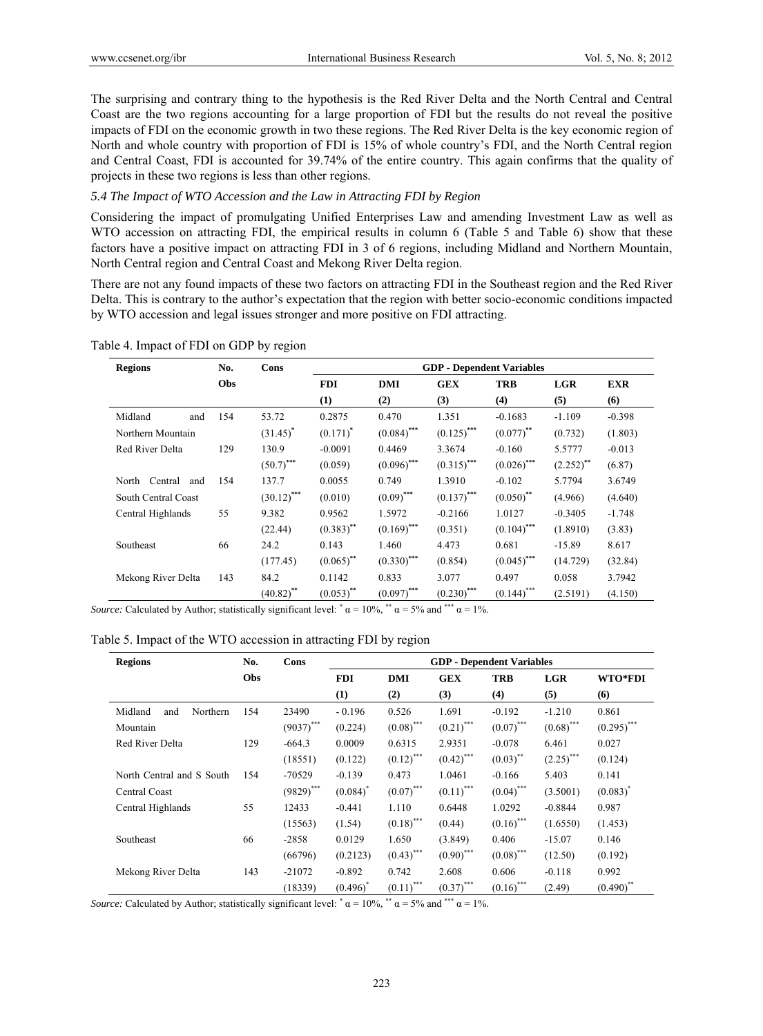The surprising and contrary thing to the hypothesis is the Red River Delta and the North Central and Central Coast are the two regions accounting for a large proportion of FDI but the results do not reveal the positive impacts of FDI on the economic growth in two these regions. The Red River Delta is the key economic region of North and whole country with proportion of FDI is 15% of whole country's FDI, and the North Central region and Central Coast, FDI is accounted for 39.74% of the entire country. This again confirms that the quality of projects in these two regions is less than other regions.

# *5.4 The Impact of WTO Accession and the Law in Attracting FDI by Region*

Considering the impact of promulgating Unified Enterprises Law and amending Investment Law as well as WTO accession on attracting FDI, the empirical results in column 6 (Table 5 and Table 6) show that these factors have a positive impact on attracting FDI in 3 of 6 regions, including Midland and Northern Mountain, North Central region and Central Coast and Mekong River Delta region.

There are not any found impacts of these two factors on attracting FDI in the Southeast region and the Red River Delta. This is contrary to the author's expectation that the region with better socio-economic conditions impacted by WTO accession and legal issues stronger and more positive on FDI attracting.

| <b>Regions</b>          | No.        | Cons                    |                         |               | <b>GDP</b> - Dependent Variables |                |              |            |
|-------------------------|------------|-------------------------|-------------------------|---------------|----------------------------------|----------------|--------------|------------|
|                         | <b>Obs</b> |                         | <b>FDI</b>              | <b>DMI</b>    | <b>GEX</b>                       | <b>TRB</b>     | LGR          | <b>EXR</b> |
|                         |            |                         | (1)                     | (2)           | (3)                              | (4)            | (5)          | (6)        |
| Midland<br>and          | 154        | 53.72                   | 0.2875                  | 0.470         | 1.351                            | $-0.1683$      | $-1.109$     | $-0.398$   |
| Northern Mountain       |            | $(31.45)^{*}$           | $(0.171)^*$             | $(0.084)$ *** | $(0.125)$ <sup>***</sup>         | $(0.077)^{**}$ | (0.732)      | (1.803)    |
| Red River Delta         | 129        | 130.9                   | $-0.0091$               | 0.4469        | 3.3674                           | $-0.160$       | 5.5777       | $-0.013$   |
|                         |            | $(50.7)$ ***            | (0.059)                 | $(0.096)$ *** | $(0.315)$ ***                    | $(0.026)$ ***  | $(2.252)$ ** | (6.87)     |
| Central<br>North<br>and | 154        | 137.7                   | 0.0055                  | 0.749         | 1.3910                           | $-0.102$       | 5.7794       | 3.6749     |
| South Central Coast     |            | $(30.12)$ ***           | (0.010)                 | $(0.09)$ ***  | $(0.137)$ ***                    | $(0.050)$ **   | (4.966)      | (4.640)    |
| Central Highlands       | 55         | 9.382                   | 0.9562                  | 1.5972        | $-0.2166$                        | 1.0127         | $-0.3405$    | $-1.748$   |
|                         |            | (22.44)                 | $(0.383)^{**}$          | $(0.169)$ *** | (0.351)                          | $(0.104)$ ***  | (1.8910)     | (3.83)     |
| Southeast               | 66         | 24.2                    | 0.143                   | 1.460         | 4.473                            | 0.681          | $-15.89$     | 8.617      |
|                         |            | (177.45)                | $(0.065)$ <sup>**</sup> | $(0.330)$ *** | (0.854)                          | $(0.045)$ ***  | (14.729)     | (32.84)    |
| Mekong River Delta      | 143        | 84.2                    | 0.1142                  | 0.833         | 3.077                            | 0.497          | 0.058        | 3.7942     |
|                         |            | $(40.82)$ <sup>**</sup> | $(0.053)$ **            | $(0.097)$ *** | $(0.230)$ ***                    | $(0.144)$ ***  | (2.5191)     | (4.150)    |

Table 4. Impact of FDI on GDP by region

*Source:* Calculated by Author; statistically significant level:  $^* \alpha = 10\%$ ,  $^{**} \alpha = 5\%$  and  $^{***} \alpha = 1\%$ .

Table 5. Impact of the WTO accession in attracting FDI by region

| <b>Regions</b>             | No.        | Cons         | <b>GDP</b> - Dependent Variables |              |              |                         |              |               |
|----------------------------|------------|--------------|----------------------------------|--------------|--------------|-------------------------|--------------|---------------|
|                            | <b>Obs</b> |              | <b>FDI</b>                       | <b>DMI</b>   | <b>GEX</b>   | <b>TRB</b>              | <b>LGR</b>   | WTO*FDI       |
|                            |            |              | (1)                              | (2)          | (3)          | (4)                     | (5)          | (6)           |
| Midland<br>Northern<br>and | 154        | 23490        | $-0.196$                         | 0.526        | 1.691        | $-0.192$                | $-1.210$     | 0.861         |
| Mountain                   |            | $(9037)$ *** | (0.224)                          | $(0.08)$ *** | $(0.21)$ *** | $(0.07)$ ***            | $(0.68)$ *** | $(0.295)$ *** |
| Red River Delta            | 129        | $-664.3$     | 0.0009                           | 0.6315       | 2.9351       | $-0.078$                | 6.461        | 0.027         |
|                            |            | (18551)      | (0.122)                          | $(0.12)$ *** | $(0.42)$ *** | $(0.03)$ **             | $(2.25)$ *** | (0.124)       |
| North Central and S South  | 154        | $-70529$     | $-0.139$                         | 0.473        | 1.0461       | $-0.166$                | 5.403        | 0.141         |
| Central Coast              |            | $(9829)$ *** | $(0.084)^*$                      | $(0.07)$ *** | $(0.11)$ *** | $(0.04)$ ***            | (3.5001)     | $(0.083)^{*}$ |
| Central Highlands          | 55         | 12433        | $-0.441$                         | 1.110        | 0.6448       | 1.0292                  | $-0.8844$    | 0.987         |
|                            |            | (15563)      | (1.54)                           | $(0.18)$ *** | (0.44)       | $(0.16)$ ***            | (1.6550)     | (1.453)       |
| Southeast                  | 66         | $-2858$      | 0.0129                           | 1.650        | (3.849)      | 0.406                   | $-15.07$     | 0.146         |
|                            |            | (66796)      | (0.2123)                         | $(0.43)$ *** | $(0.90)$ *** | $(0.08)$ ***            | (12.50)      | (0.192)       |
| Mekong River Delta         | 143        | $-21072$     | $-0.892$                         | 0.742        | 2.608        | 0.606                   | $-0.118$     | 0.992         |
|                            |            | (18339)      | $(0.496)^*$                      | $(0.11)$ *** | $(0.37)$ *** | $(0.16)$ <sup>***</sup> | (2.49)       | $(0.490)$ **  |

*Source:* Calculated by Author; statistically significant level:  $^* \alpha = 10\%$ ,  $^{**} \alpha = 5\%$  and  $^{***} \alpha = 1\%$ .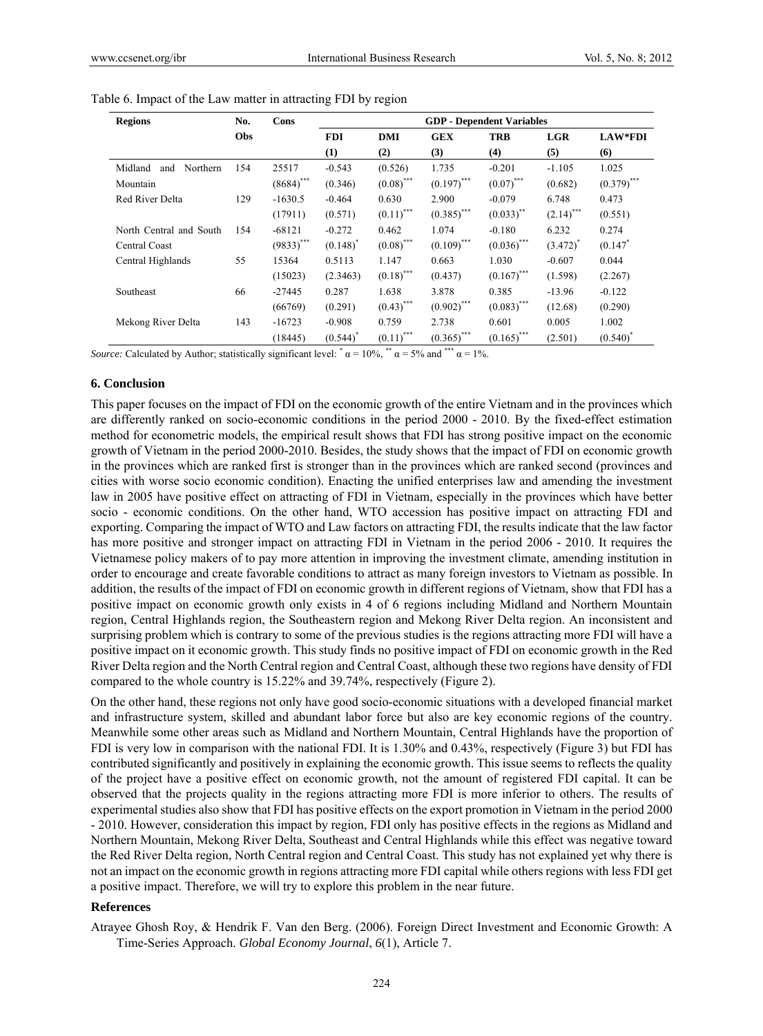| <b>Regions</b>             | No. | Cons         | <b>GDP</b> - Dependent Variables |              |               |                         |               |                |  |  |
|----------------------------|-----|--------------|----------------------------------|--------------|---------------|-------------------------|---------------|----------------|--|--|
|                            | Obs |              | <b>FDI</b>                       | <b>DMI</b>   | <b>GEX</b>    | <b>TRB</b>              | <b>LGR</b>    | <b>LAW*FDI</b> |  |  |
|                            |     |              | (1)                              | (2)          | (3)           | (4)                     | (5)           | (6)            |  |  |
| Midland<br>Northern<br>and | 154 | 25517        | $-0.543$                         | (0.526)      | 1.735         | $-0.201$                | $-1.105$      | 1.025          |  |  |
| Mountain                   |     | $(8684)$ *** | (0.346)                          | $(0.08)$ *** | $(0.197)$ *** | $(0.07)$ ***            | (0.682)       | $(0.379)$ ***  |  |  |
| Red River Delta            | 129 | $-1630.5$    | $-0.464$                         | 0.630        | 2.900         | $-0.079$                | 6.748         | 0.473          |  |  |
|                            |     | (17911)      | (0.571)                          | $(0.11)$ *** | $(0.385)$ *** | $(0.033)$ <sup>**</sup> | $(2.14)$ ***  | (0.551)        |  |  |
| North Central and South    | 154 | $-68121$     | $-0.272$                         | 0.462        | 1.074         | $-0.180$                | 6.232         | 0.274          |  |  |
| Central Coast              |     | $(9833)$ *** | $(0.148)^{*}$                    | $(0.08)$ *** | $(0.109)$ *** | $(0.036)$ ***           | $(3.472)^{*}$ | $(0.147^*)$    |  |  |
| Central Highlands          | 55  | 15364        | 0.5113                           | 1.147        | 0.663         | 1.030                   | $-0.607$      | 0.044          |  |  |
|                            |     | (15023)      | (2.3463)                         | $(0.18)$ *** | (0.437)       | $(0.167)$ ***           | (1.598)       | (2.267)        |  |  |
| Southeast                  | 66  | $-27445$     | 0.287                            | 1.638        | 3.878         | 0.385                   | $-13.96$      | $-0.122$       |  |  |
|                            |     | (66769)      | (0.291)                          | $(0.43)$ *** | $(0.902)$ *** | $(0.083)$ ***           | (12.68)       | (0.290)        |  |  |
| Mekong River Delta         | 143 | $-16723$     | $-0.908$                         | 0.759        | 2.738         | 0.601                   | 0.005         | 1.002          |  |  |
|                            |     | (18445)      | $(0.544)^*$                      | $(0.11)$ *** | $(0.365)$ *** | $(0.165)$ ***           | (2.501)       | $(0.540)^{*}$  |  |  |

Table 6. Impact of the Law matter in attracting FDI by region

*Source:* Calculated by Author; statistically significant level:  $^* \alpha = 10\%$ ,  $^{**} \alpha = 5\%$  and  $^{***} \alpha = 1\%$ .

#### **6. Conclusion**

This paper focuses on the impact of FDI on the economic growth of the entire Vietnam and in the provinces which are differently ranked on socio-economic conditions in the period 2000 - 2010. By the fixed-effect estimation method for econometric models, the empirical result shows that FDI has strong positive impact on the economic growth of Vietnam in the period 2000-2010. Besides, the study shows that the impact of FDI on economic growth in the provinces which are ranked first is stronger than in the provinces which are ranked second (provinces and cities with worse socio economic condition). Enacting the unified enterprises law and amending the investment law in 2005 have positive effect on attracting of FDI in Vietnam, especially in the provinces which have better socio - economic conditions. On the other hand, WTO accession has positive impact on attracting FDI and exporting. Comparing the impact of WTO and Law factors on attracting FDI, the results indicate that the law factor has more positive and stronger impact on attracting FDI in Vietnam in the period 2006 - 2010. It requires the Vietnamese policy makers of to pay more attention in improving the investment climate, amending institution in order to encourage and create favorable conditions to attract as many foreign investors to Vietnam as possible. In addition, the results of the impact of FDI on economic growth in different regions of Vietnam, show that FDI has a positive impact on economic growth only exists in 4 of 6 regions including Midland and Northern Mountain region, Central Highlands region, the Southeastern region and Mekong River Delta region. An inconsistent and surprising problem which is contrary to some of the previous studies is the regions attracting more FDI will have a positive impact on it economic growth. This study finds no positive impact of FDI on economic growth in the Red River Delta region and the North Central region and Central Coast, although these two regions have density of FDI compared to the whole country is 15.22% and 39.74%, respectively (Figure 2).

On the other hand, these regions not only have good socio-economic situations with a developed financial market and infrastructure system, skilled and abundant labor force but also are key economic regions of the country. Meanwhile some other areas such as Midland and Northern Mountain, Central Highlands have the proportion of FDI is very low in comparison with the national FDI. It is 1.30% and 0.43%, respectively (Figure 3) but FDI has contributed significantly and positively in explaining the economic growth. This issue seems to reflects the quality of the project have a positive effect on economic growth, not the amount of registered FDI capital. It can be observed that the projects quality in the regions attracting more FDI is more inferior to others. The results of experimental studies also show that FDI has positive effects on the export promotion in Vietnam in the period 2000 - 2010. However, consideration this impact by region, FDI only has positive effects in the regions as Midland and Northern Mountain, Mekong River Delta, Southeast and Central Highlands while this effect was negative toward the Red River Delta region, North Central region and Central Coast. This study has not explained yet why there is not an impact on the economic growth in regions attracting more FDI capital while others regions with less FDI get a positive impact. Therefore, we will try to explore this problem in the near future.

## **References**

Atrayee Ghosh Roy, & Hendrik F. Van den Berg. (2006). Foreign Direct Investment and Economic Growth: A Time-Series Approach. *Global Economy Journal*, *6*(1), Article 7.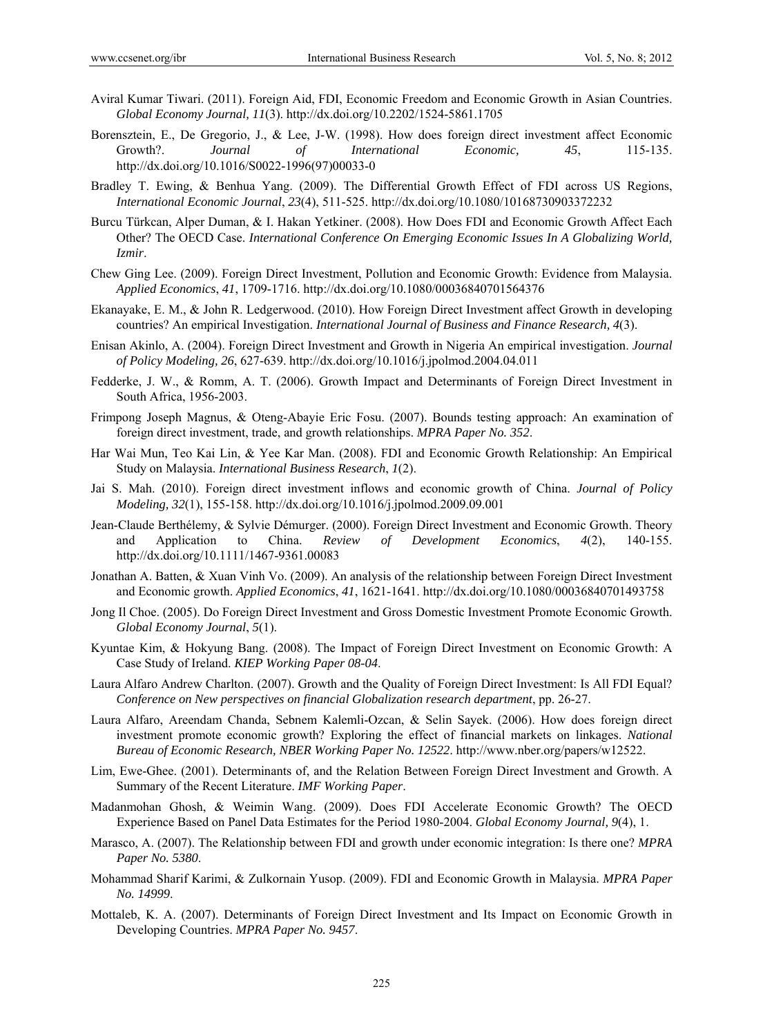- Aviral Kumar Tiwari. (2011). Foreign Aid, FDI, Economic Freedom and Economic Growth in Asian Countries. *Global Economy Journal, 11*(3). http://dx.doi.org/10.2202/1524-5861.1705
- Borensztein, E., De Gregorio, J., & Lee, J-W. (1998). How does foreign direct investment affect Economic Growth?. *Journal of International Economic, 45*, 115-135. http://dx.doi.org/10.1016/S0022-1996(97)00033-0
- Bradley T. Ewing, & Benhua Yang. (2009). The Differential Growth Effect of FDI across US Regions, *International Economic Journal*, *23*(4), 511-525. http://dx.doi.org/10.1080/10168730903372232
- Burcu Türkcan, Alper Duman, & I. Hakan Yetkiner. (2008). How Does FDI and Economic Growth Affect Each Other? The OECD Case. *International Conference On Emerging Economic Issues In A Globalizing World, Izmir*.
- Chew Ging Lee. (2009). Foreign Direct Investment, Pollution and Economic Growth: Evidence from Malaysia. *Applied Economics*, *41*, 1709-1716. http://dx.doi.org/10.1080/00036840701564376
- Ekanayake, E. M., & John R. Ledgerwood. (2010). How Foreign Direct Investment affect Growth in developing countries? An empirical Investigation. *International Journal of Business and Finance Research, 4*(3).
- Enisan Akinlo, A. (2004). Foreign Direct Investment and Growth in Nigeria An empirical investigation. *Journal of Policy Modeling, 26*, 627-639. http://dx.doi.org/10.1016/j.jpolmod.2004.04.011
- Fedderke, J. W., & Romm, A. T. (2006). Growth Impact and Determinants of Foreign Direct Investment in South Africa, 1956-2003.
- Frimpong Joseph Magnus, & Oteng-Abayie Eric Fosu. (2007). Bounds testing approach: An examination of foreign direct investment, trade, and growth relationships. *MPRA Paper No. 352*.
- Har Wai Mun, Teo Kai Lin, & Yee Kar Man. (2008). FDI and Economic Growth Relationship: An Empirical Study on Malaysia. *International Business Research*, *1*(2).
- Jai S. Mah. (2010). Foreign direct investment inflows and economic growth of China. *Journal of Policy Modeling, 32*(1), 155-158. http://dx.doi.org/10.1016/j.jpolmod.2009.09.001
- Jean-Claude Berthélemy, & Sylvie Démurger. (2000). Foreign Direct Investment and Economic Growth. Theory and Application to China. *Review of Development Economics*, *4*(2), 140-155. http://dx.doi.org/10.1111/1467-9361.00083
- Jonathan A. Batten, & Xuan Vinh Vo. (2009). An analysis of the relationship between Foreign Direct Investment and Economic growth. *Applied Economics*, *41*, 1621-1641. http://dx.doi.org/10.1080/00036840701493758
- Jong Il Choe. (2005). Do Foreign Direct Investment and Gross Domestic Investment Promote Economic Growth. *Global Economy Journal*, *5*(1).
- Kyuntae Kim, & Hokyung Bang. (2008). The Impact of Foreign Direct Investment on Economic Growth: A Case Study of Ireland. *KIEP Working Paper 08-04*.
- Laura Alfaro Andrew Charlton. (2007). Growth and the Quality of Foreign Direct Investment: Is All FDI Equal? *Conference on New perspectives on financial Globalization research department*, pp. 26-27.
- Laura Alfaro, Areendam Chanda, Sebnem Kalemli-Ozcan, & Selin Sayek. (2006). How does foreign direct investment promote economic growth? Exploring the effect of financial markets on linkages. *National Bureau of Economic Research, NBER Working Paper No. 12522*. http://www.nber.org/papers/w12522.
- Lim, Ewe-Ghee. (2001). Determinants of, and the Relation Between Foreign Direct Investment and Growth. A Summary of the Recent Literature. *IMF Working Paper*.
- Madanmohan Ghosh, & Weimin Wang. (2009). Does FDI Accelerate Economic Growth? The OECD Experience Based on Panel Data Estimates for the Period 1980-2004. *Global Economy Journal, 9*(4), 1.
- Marasco, A. (2007). The Relationship between FDI and growth under economic integration: Is there one? *MPRA Paper No. 5380*.
- Mohammad Sharif Karimi, & Zulkornain Yusop. (2009). FDI and Economic Growth in Malaysia. *MPRA Paper No. 14999*.
- Mottaleb, K. A. (2007). Determinants of Foreign Direct Investment and Its Impact on Economic Growth in Developing Countries. *MPRA Paper No. 9457*.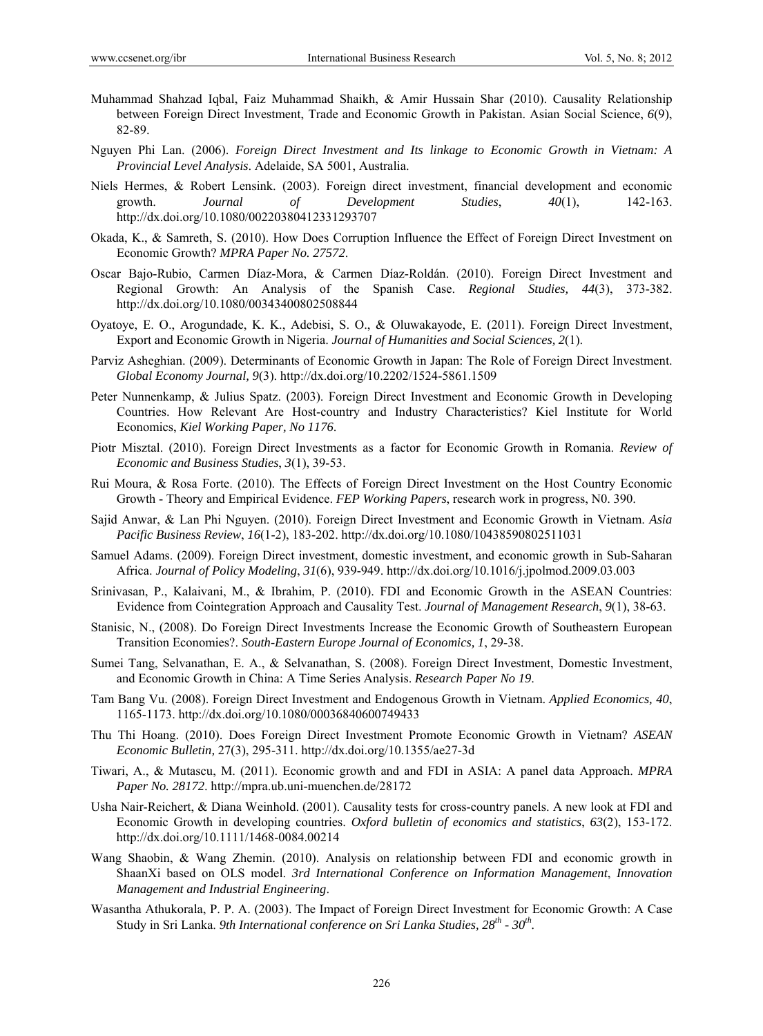- Muhammad Shahzad Iqbal, Faiz Muhammad Shaikh, & Amir Hussain Shar (2010). Causality Relationship between Foreign Direct Investment, Trade and Economic Growth in Pakistan. Asian Social Science, *6*(9), 82-89.
- Nguyen Phi Lan. (2006). *Foreign Direct Investment and Its linkage to Economic Growth in Vietnam: A Provincial Level Analysis*. Adelaide, SA 5001, Australia.
- Niels Hermes, & Robert Lensink. (2003). Foreign direct investment, financial development and economic growth. *Journal of Development Studies*, *40*(1), 142-163. http://dx.doi.org/10.1080/00220380412331293707
- Okada, K., & Samreth, S. (2010). How Does Corruption Influence the Effect of Foreign Direct Investment on Economic Growth? *MPRA Paper No. 27572*.
- Oscar Bajo-Rubio, Carmen Díaz-Mora, & Carmen Díaz-Roldán. (2010). Foreign Direct Investment and Regional Growth: An Analysis of the Spanish Case. *Regional Studies, 44*(3), 373-382. http://dx.doi.org/10.1080/00343400802508844
- Oyatoye, E. O., Arogundade, K. K., Adebisi, S. O., & Oluwakayode, E. (2011). Foreign Direct Investment, Export and Economic Growth in Nigeria. *Journal of Humanities and Social Sciences, 2*(1).
- Parviz Asheghian. (2009). Determinants of Economic Growth in Japan: The Role of Foreign Direct Investment. *Global Economy Journal, 9*(3). http://dx.doi.org/10.2202/1524-5861.1509
- Peter Nunnenkamp, & Julius Spatz. (2003). Foreign Direct Investment and Economic Growth in Developing Countries. How Relevant Are Host-country and Industry Characteristics? Kiel Institute for World Economics, *Kiel Working Paper, No 1176*.
- Piotr Misztal. (2010). Foreign Direct Investments as a factor for Economic Growth in Romania. *Review of Economic and Business Studies*, *3*(1), 39-53.
- Rui Moura, & Rosa Forte. (2010). The Effects of Foreign Direct Investment on the Host Country Economic Growth - Theory and Empirical Evidence. *FEP Working Papers*, research work in progress, N0. 390.
- Sajid Anwar, & Lan Phi Nguyen. (2010). Foreign Direct Investment and Economic Growth in Vietnam. *Asia Pacific Business Review*, *16*(1-2), 183-202. http://dx.doi.org/10.1080/10438590802511031
- Samuel Adams. (2009). Foreign Direct investment, domestic investment, and economic growth in Sub-Saharan Africa. *Journal of Policy Modeling*, *31*(6), 939-949. http://dx.doi.org/10.1016/j.jpolmod.2009.03.003
- Srinivasan, P., Kalaivani, M., & Ibrahim, P. (2010). FDI and Economic Growth in the ASEAN Countries: Evidence from Cointegration Approach and Causality Test. *Journal of Management Research*, *9*(1), 38-63.
- Stanisic, N., (2008). Do Foreign Direct Investments Increase the Economic Growth of Southeastern European Transition Economies?. *South-Eastern Europe Journal of Economics, 1*, 29-38.
- Sumei Tang, Selvanathan, E. A., & Selvanathan, S. (2008). Foreign Direct Investment, Domestic Investment, and Economic Growth in China: A Time Series Analysis. *Research Paper No 19*.
- Tam Bang Vu. (2008). Foreign Direct Investment and Endogenous Growth in Vietnam. *Applied Economics, 40*, 1165-1173. http://dx.doi.org/10.1080/00036840600749433
- Thu Thi Hoang. (2010). Does Foreign Direct Investment Promote Economic Growth in Vietnam? *ASEAN Economic Bulletin,* 27(3), 295-311. http://dx.doi.org/10.1355/ae27-3d
- Tiwari, A., & Mutascu, M. (2011). Economic growth and and FDI in ASIA: A panel data Approach. *MPRA Paper No. 28172*. http://mpra.ub.uni-muenchen.de/28172
- Usha Nair-Reichert, & Diana Weinhold. (2001). Causality tests for cross-country panels. A new look at FDI and Economic Growth in developing countries. *Oxford bulletin of economics and statistics*, *63*(2), 153-172. http://dx.doi.org/10.1111/1468-0084.00214
- Wang Shaobin, & Wang Zhemin. (2010). Analysis on relationship between FDI and economic growth in ShaanXi based on OLS model. *3rd International Conference on Information Management*, *Innovation Management and Industrial Engineering*.
- Wasantha Athukorala, P. P. A. (2003). The Impact of Foreign Direct Investment for Economic Growth: A Case Study in Sri Lanka. *9th International conference on Sri Lanka Studies, 28th - 30th.*